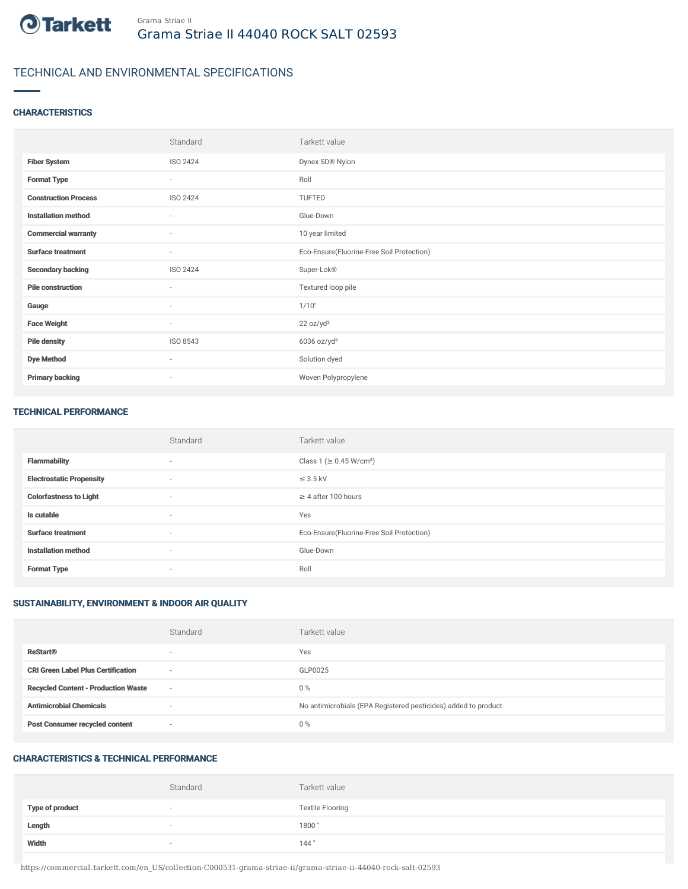

# TECHNICAL AND ENVIRONMENTAL SPECIFICATIONS

## **CHARACTERISTICS**

|                             | Standard                 | Tarkett value                             |
|-----------------------------|--------------------------|-------------------------------------------|
| <b>Fiber System</b>         | ISO 2424                 | Dynex SD® Nylon                           |
| <b>Format Type</b>          | $\sim$                   | Roll                                      |
| <b>Construction Process</b> | ISO 2424                 | TUFTED                                    |
| <b>Installation method</b>  | $\sim$                   | Glue-Down                                 |
| <b>Commercial warranty</b>  | $\sim$                   | 10 year limited                           |
| <b>Surface treatment</b>    | $\sim$                   | Eco-Ensure(Fluorine-Free Soil Protection) |
| <b>Secondary backing</b>    | ISO 2424                 | Super-Lok®                                |
| <b>Pile construction</b>    | $\sim$                   | Textured loop pile                        |
| Gauge                       | $\overline{\phantom{a}}$ | 1/10"                                     |
| <b>Face Weight</b>          | $\sim$                   | 22 oz/yd <sup>2</sup>                     |
| <b>Pile density</b>         | ISO 8543                 | $6036$ oz/yd <sup>3</sup>                 |
| <b>Dye Method</b>           | $\sim$                   | Solution dyed                             |
| <b>Primary backing</b>      | $\sim$                   | Woven Polypropylene                       |

#### TECHNICAL PERFORMANCE

|                                 | Standard                 | Tarkett value                             |
|---------------------------------|--------------------------|-------------------------------------------|
| <b>Flammability</b>             | $\sim$                   | Class 1 (≥ 0.45 W/cm <sup>2</sup> )       |
| <b>Electrostatic Propensity</b> | $\overline{\phantom{a}}$ | $\leq$ 3.5 kV                             |
| <b>Colorfastness to Light</b>   | $\sim$                   | $\geq$ 4 after 100 hours                  |
| Is cutable                      | $\sim$                   | Yes                                       |
| <b>Surface treatment</b>        | $\sim$                   | Eco-Ensure(Fluorine-Free Soil Protection) |
| <b>Installation method</b>      | $\sim$                   | Glue-Down                                 |
| <b>Format Type</b>              | $\sim$                   | Roll                                      |

## SUSTAINABILITY, ENVIRONMENT & INDOOR AIR QUALITY

|                                            | Standard                 | Tarkett value                                                  |
|--------------------------------------------|--------------------------|----------------------------------------------------------------|
| <b>ReStart®</b>                            | $\overline{\phantom{a}}$ | Yes                                                            |
| <b>CRI Green Label Plus Certification</b>  | $\overline{\phantom{a}}$ | GLP0025                                                        |
| <b>Recycled Content - Production Waste</b> | $\sim$                   | $0\%$                                                          |
| <b>Antimicrobial Chemicals</b>             | $\overline{\phantom{a}}$ | No antimicrobials (EPA Registered pesticides) added to product |
| <b>Post Consumer recycled content</b>      | $\overline{\phantom{a}}$ | $0\%$                                                          |

## CHARACTERISTICS & TECHNICAL PERFORMANCE

|                        | Standard | Tarkett value           |
|------------------------|----------|-------------------------|
| <b>Type of product</b> | $\sim$   | <b>Textile Flooring</b> |
| Length                 | $\sim$   | 1800"                   |
| Width                  | $\sim$   | 144"                    |

https://commercial.tarkett.com/en\_US/collection-C000531-grama-striae-ii/grama-striae-ii-44040-rock-salt-02593